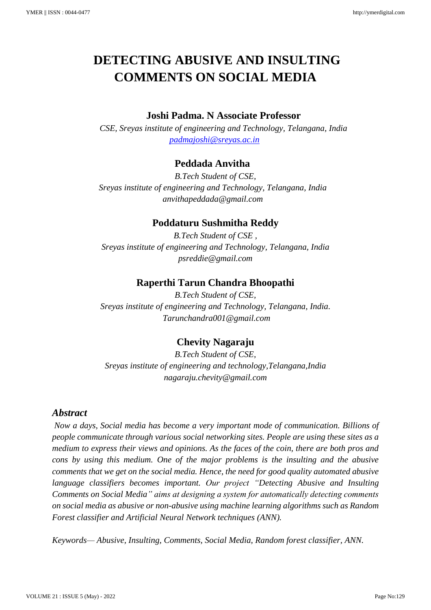# **DETECTING ABUSIVE AND INSULTING COMMENTS ON SOCIAL MEDIA**

#### **Joshi Padma. N Associate Professor**

*CSE, Sreyas institute of engineering and Technology, Telangana, India [padmajoshi@sreyas.ac.in](mailto:padmajoshi@sreyas.ac.in)*

## **Peddada Anvitha**

*B.Tech Student of CSE, Sreyas institute of engineering and Technology, Telangana, India anvithapeddada@gmail.com*

## **Poddaturu Sushmitha Reddy**

*B.Tech Student of CSE , Sreyas institute of engineering and Technology, Telangana, India psreddie@gmail.com*

## **Raperthi Tarun Chandra Bhoopathi**

*B.Tech Student of CSE, Sreyas institute of engineering and Technology, Telangana, India. Tarunchandra001@gmail.com*

## **Chevity Nagaraju**

*B.Tech Student of CSE, Sreyas institute of engineering and technology,Telangana,India nagaraju.chevity@gmail.com*

#### *Abstract*

*Now a days, Social media has become a very important mode of communication. Billions of people communicate through various social networking sites. People are using these sites as a medium to express their views and opinions. As the faces of the coin, there are both pros and cons by using this medium. One of the major problems is the insulting and the abusive comments that we get on the social media. Hence, the need for good quality automated abusive language classifiers becomes important. Our project "Detecting Abusive and Insulting Comments on Social Media" aims at designing a system for automatically detecting comments on social media as abusive or non-abusive using machine learning algorithms such as Random Forest classifier and Artificial Neural Network techniques (ANN).*

*Keywords— Abusive, Insulting, Comments, Social Media, Random forest classifier, ANN.*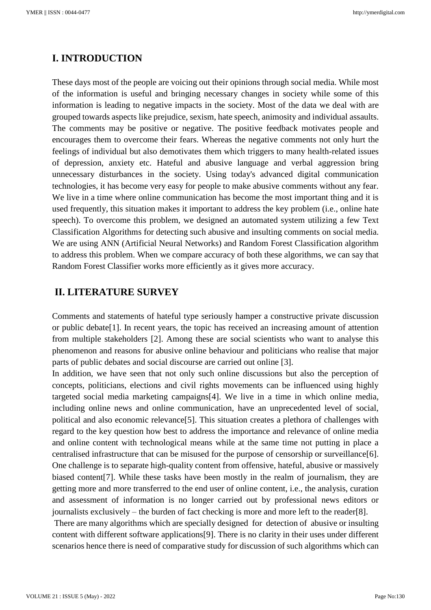## **Ⅰ. INTRODUCTION**

These days most of the people are voicing out their opinions through social media. While most of the information is useful and bringing necessary changes in society while some of this information is leading to negative impacts in the society. Most of the data we deal with are grouped towards aspects like prejudice, sexism, hate speech, animosity and individual assaults. The comments may be positive or negative. The positive feedback motivates people and encourages them to overcome their fears. Whereas the negative comments not only hurt the feelings of individual but also demotivates them which triggers to many health-related issues of depression, anxiety etc. Hateful and abusive language and verbal aggression bring unnecessary disturbances in the society. Using today's advanced digital communication technologies, it has become very easy for people to make abusive comments without any fear. We live in a time where online communication has become the most important thing and it is used frequently, this situation makes it important to address the key problem (i.e., online hate speech). To overcome this problem, we designed an automated system utilizing a few Text Classification Algorithms for detecting such abusive and insulting comments on social media. We are using ANN (Artificial Neural Networks) and Random Forest Classification algorithm to address this problem. When we compare accuracy of both these algorithms, we can say that Random Forest Classifier works more efficiently as it gives more accuracy.

#### **Ⅱ. LITERATURE SURVEY**

Comments and statements of hateful type seriously hamper a constructive private discussion or public debate[1]. In recent years, the topic has received an increasing amount of attention from multiple stakeholders [2]. Among these are social scientists who want to analyse this phenomenon and reasons for abusive online behaviour and politicians who realise that major parts of public debates and social discourse are carried out online [3].

In addition, we have seen that not only such online discussions but also the perception of concepts, politicians, elections and civil rights movements can be influenced using highly targeted social media marketing campaigns[4]. We live in a time in which online media, including online news and online communication, have an unprecedented level of social, political and also economic relevance[5]. This situation creates a plethora of challenges with regard to the key question how best to address the importance and relevance of online media and online content with technological means while at the same time not putting in place a centralised infrastructure that can be misused for the purpose of censorship or surveillance[6]. One challenge is to separate high-quality content from offensive, hateful, abusive or massively biased content[7]. While these tasks have been mostly in the realm of journalism, they are getting more and more transferred to the end user of online content, i.e., the analysis, curation and assessment of information is no longer carried out by professional news editors or journalists exclusively – the burden of fact checking is more and more left to the reader[8].

There are many algorithms which are specially designed for detection of abusive or insulting content with different software applications[9]. There is no clarity in their uses under different scenarios hence there is need of comparative study for discussion of such algorithms which can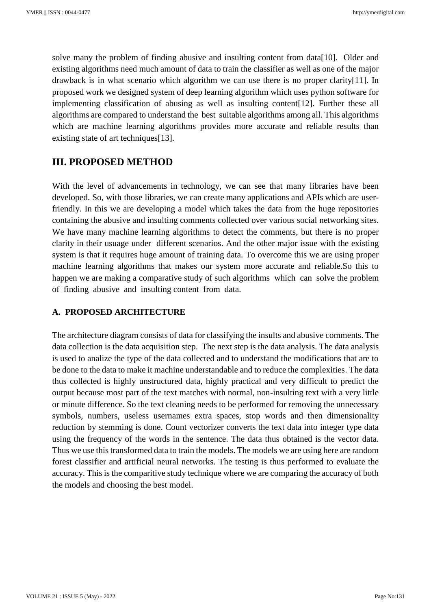solve many the problem of finding abusive and insulting content from data[10]. Older and existing algorithms need much amount of data to train the classifier as well as one of the major drawback is in what scenario which algorithm we can use there is no proper clarity[11]. In proposed work we designed system of deep learning algorithm which uses python software for implementing classification of abusing as well as insulting content[12]. Further these all algorithms are compared to understand the best suitable algorithms among all. This algorithms which are machine learning algorithms provides more accurate and reliable results than existing state of art techniques[13].

#### **III. PROPOSED METHOD**

With the level of advancements in technology, we can see that many libraries have been developed. So, with those libraries, we can create many applications and APIs which are userfriendly. In this we are developing a model which takes the data from the huge repositories containing the abusive and insulting comments collected over various social networking sites. We have many machine learning algorithms to detect the comments, but there is no proper clarity in their usuage under different scenarios. And the other major issue with the existing system is that it requires huge amount of training data. To overcome this we are using proper machine learning algorithms that makes our system more accurate and reliable.So this to happen we are making a comparative study of such algorithms which can solve the problem of finding abusive and insulting content from data.

#### **A. PROPOSED ARCHITECTURE**

The architecture diagram consists of data for classifying the insults and abusive comments. The data collection is the data acquisition step. The next step is the data analysis. The data analysis is used to analize the type of the data collected and to understand the modifications that are to be done to the data to make it machine understandable and to reduce the complexities. The data thus collected is highly unstructured data, highly practical and very difficult to predict the output because most part of the text matches with normal, non-insulting text with a very little or minute difference. So the text cleaning needs to be performed for removing the unnecessary symbols, numbers, useless usernames extra spaces, stop words and then dimensionality reduction by stemming is done. Count vectorizer converts the text data into integer type data using the frequency of the words in the sentence. The data thus obtained is the vector data. Thus we use this transformed data to train the models. The models we are using here are random forest classifier and artificial neural networks. The testing is thus performed to evaluate the accuracy. This is the comparitive study technique where we are comparing the accuracy of both the models and choosing the best model.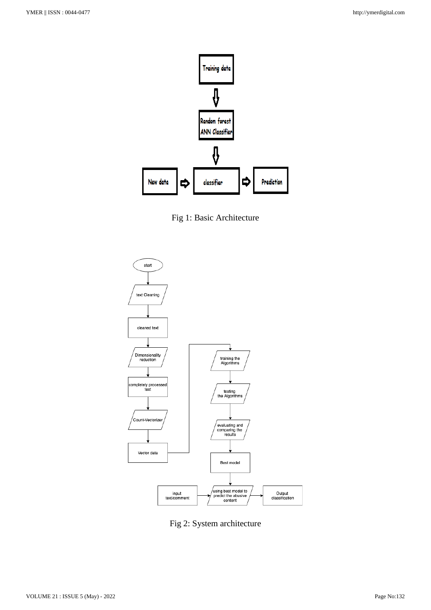

Fig 1: Basic Architecture



Fig 2: System architecture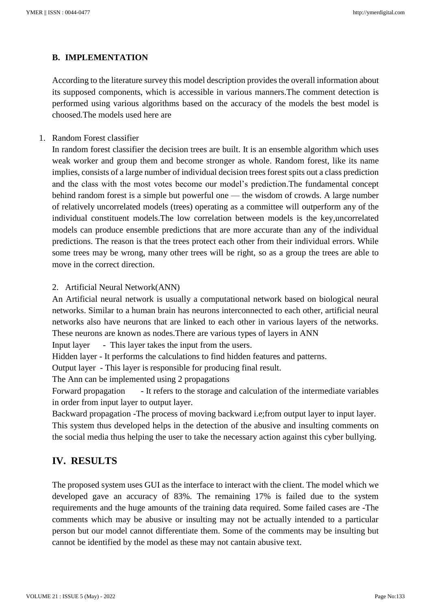#### **B. IMPLEMENTATION**

According to the literature survey this model description provides the overall information about its supposed components, which is accessible in various manners.The comment detection is performed using various algorithms based on the accuracy of the models the best model is choosed.The models used here are

1. Random Forest classifier

In random forest classifier the decision trees are built. It is an ensemble algorithm which uses weak worker and group them and become stronger as whole. Random forest, like its name implies, consists of a large number of individual decision trees forest spits out a class prediction and the class with the most votes become our model's prediction.The fundamental concept behind random forest is a simple but powerful one — the wisdom of crowds. A large number of relatively uncorrelated models (trees) operating as a committee will outperform any of the individual constituent models.The low correlation between models is the key,uncorrelated models can produce ensemble predictions that are more accurate than any of the individual predictions. The reason is that the trees protect each other from their individual errors. While some trees may be wrong, many other trees will be right, so as a group the trees are able to move in the correct direction.

#### 2. Artificial Neural Network(ANN)

An Artificial neural network is usually a computational network based on biological neural networks. Similar to a human brain has neurons interconnected to each other, artificial neural networks also have neurons that are linked to each other in various layers of the networks. These neurons are known as nodes.There are various types of layers in ANN

Input layer - This layer takes the input from the users.

Hidden layer - It performs the calculations to find hidden features and patterns.

Output layer - This layer is responsible for producing final result.

The Ann can be implemented using 2 propagations

Forward propagation - It refers to the storage and calculation of the intermediate variables in order from input layer to output layer.

Backward propagation -The process of moving backward i.e;from output layer to input layer. This system thus developed helps in the detection of the abusive and insulting comments on the social media thus helping the user to take the necessary action against this cyber bullying.

## **IV. RESULTS**

The proposed system uses GUI as the interface to interact with the client. The model which we developed gave an accuracy of 83%. The remaining 17% is failed due to the system requirements and the huge amounts of the training data required. Some failed cases are -The comments which may be abusive or insulting may not be actually intended to a particular person but our model cannot differentiate them. Some of the comments may be insulting but cannot be identified by the model as these may not cantain abusive text.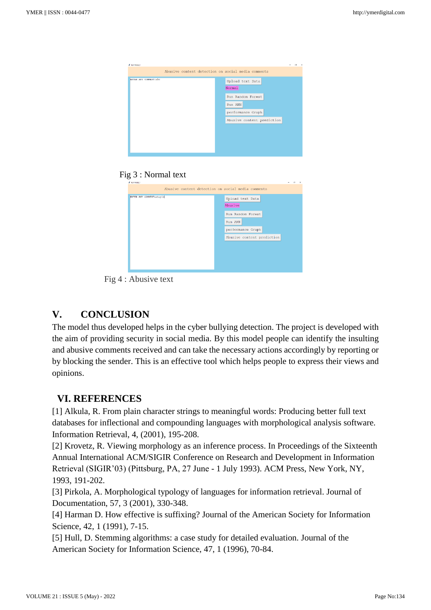

#### Fig 3 : Normal text

| # NUP FROJECT             | $\mathbb{X}$<br>$\sim$                                      |
|---------------------------|-------------------------------------------------------------|
|                           | Abusive content detection on social media comments          |
| ENTER ANY COMMENT: stupid | Upload text Data<br>Abusive<br>Run Random Forest<br>Run ANN |
|                           | performance Graph<br>Abusive content prediction             |
|                           |                                                             |

Fig 4 : Abusive text

## **V. CONCLUSION**

The model thus developed helps in the cyber bullying detection. The project is developed with the aim of providing security in social media. By this model people can identify the insulting and abusive comments received and can take the necessary actions accordingly by reporting or by blocking the sender. This is an effective tool which helps people to express their views and opinions.

### **VI. REFERENCES**

[1] Alkula, R. From plain character strings to meaningful words: Producing better full text databases for inflectional and compounding languages with morphological analysis software. Information Retrieval, 4, (2001), 195-208.

[2] Krovetz, R. Viewing morphology as an inference process. In Proceedings of the Sixteenth Annual International ACM/SIGIR Conference on Research and Development in Information Retrieval (SIGIR'03) (Pittsburg, PA, 27 June - 1 July 1993). ACM Press, New York, NY, 1993, 191-202.

[3] Pirkola, A. Morphological typology of languages for information retrieval. Journal of Documentation, 57, 3 (2001), 330-348.

[4] Harman D. How effective is suffixing? Journal of the American Society for Information Science, 42, 1 (1991), 7-15.

[5] Hull, D. Stemming algorithms: a case study for detailed evaluation. Journal of the American Society for Information Science, 47, 1 (1996), 70-84.